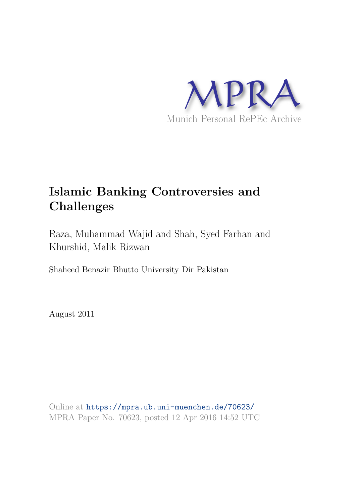

# **Islamic Banking Controversies and Challenges**

Raza, Muhammad Wajid and Shah, Syed Farhan and Khurshid, Malik Rizwan

Shaheed Benazir Bhutto University Dir Pakistan

August 2011

Online at https://mpra.ub.uni-muenchen.de/70623/ MPRA Paper No. 70623, posted 12 Apr 2016 14:52 UTC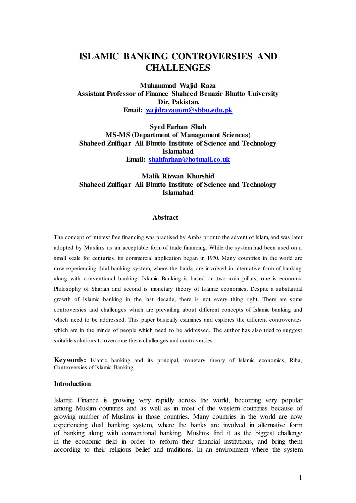# **ISLAMIC BANKING CONTROVERSIES AND CHALLENGES**

**Muhammad Wajid Raza Assistant Professor of Finance Shaheed Benazir Bhutto University Dir, Pakistan. Email: [wajidrazauom@sbbu.edu.pk](mailto:wajidrazauom@sbbu.edu.pk)**

**Syed Farhan Shah MS-MS (Department of Management Sciences) Shaheed Zulfiqar Ali Bhutto Institute of Science and Technology Islamabad Email: [shahfarhan@hotmail.co.uk](mailto:shahfarhan@hotmail.co.uk)**

### **Malik Rizwan Khurshid Shaheed Zulfiqar Ali Bhutto Institute of Science and Technology Islamabad**

#### **Abstract**

The concept of interest free financing was practised by Arabs prior to the advent of Islam, and was later adopted by Muslims as an acceptable form of trade financing. While the system had been used on a small scale for centuries, its commercial application began in 1970. Many countries in the world are now experiencing dual banking system, where the banks are involved in alternative form of banking along with conventional banking. Islamic Banking is based on two main pillars; one is economic Philosophy of Shariah and second is monetary theory of Islamic economics. Despite a substantial growth of Islamic banking in the last decade, there is not every thing right. There are some controversies and challenges which are prevailing about different concepts of Islamic banking and which need to be addressed. This paper basically examines and explores the different controversies which are in the minds of people which need to be addressed. The author has also tried to suggest suitable solutions to overcome these challenges and controversies.

**Keywords:** Islamic banking and its principal, monetary theory of Islamic economics, Riba, Controversies of Islamic Banking

#### **Introduction**

Islamic Finance is growing very rapidly across the world, becoming very popular among Muslim countries and as well as in most of the western countries because of growing number of Muslims in those countries. Many countries in the world are now experiencing dual banking system, where the banks are involved in alternative form of banking along with conventional banking. Muslims find it as the biggest challenge in the economic field in order to reform their financial institutions, and bring them according to their religious belief and traditions. In an environment where the system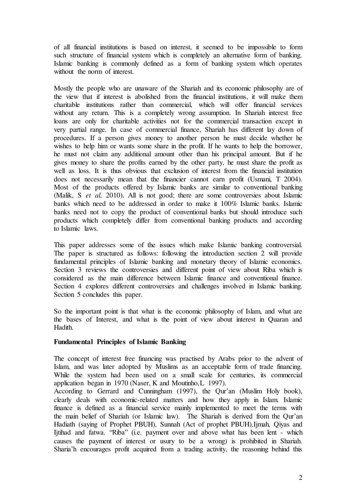of all financial institutions is based on interest, it seemed to be impossible to form such structure of financial system which is completely an alternative form of banking. Islamic banking is commonly defined as a form of banking system which operates without the norm of interest.

Mostly the people who are unaware of the Shariah and its economic philosophy are of the view that if interest is abolished from the financial institutions, it will make them charitable institutions rather than commercial, which will offer financial services without any return. This is a completely wrong assumption. In Shariah interest free loans are only for charitable activities not for the commercial transaction except in very partial range. In case of commercial finance, Shariah has different lay down of procedures. If a person gives money to another person he must decide whether he wishes to help him or wants some share in the profit. If he wants to help the borrower, he must not claim any additional amount other than his principal amount. But if he gives money to share the profits earned by the other party, he must share the profit as well as loss. It is thus obvious that exclusion of interest from the financial institution does not necessarily mean that the financier cannot earn profit (Usmani, T 2004). Most of the products offered by Islamic banks are similar to conventional banking (Malik, S *et al,* 2010). All is not good; there are some controversies about Islamic banks which need to be addressed in order to make it 100% Islamic banks. Islamic banks need not to copy the product of conventional banks but should introduce such products which completely differ from conventional banking products and according to Islamic laws.

This paper addresses some of the issues which make Islamic banking controversial. The paper is structured as follows: following the introduction section 2 will provide fundamental principles of Islamic banking and monetary theory of Islamic economics. Section 3 reviews the controversies and different point of view about Riba which is considered as the main difference between Islamic finance and conventional finance. Section 4 explores different controversies and challenges involved in Islamic banking. Section 5 concludes this paper.

So the important point is that what is the economic philosophy of Islam, and what are the bases of Interest, and what is the point of view about interest in Quaran and Hadith.

#### **Fundamental Principles of Islamic Banking**

The concept of interest free financing was practised by Arabs prior to the advent of Islam, and was later adopted by Muslims as an acceptable form of trade financing. While the system had been used on a small scale for centuries, its commercial application began in 1970 (Naser, K and Moutinho,L 1997).

According to Gerrard and Cunningham (1997), the Qur'an (Muslim Holy book), clearly deals with economic-related matters and how they apply in Islam. Islamic finance is defined as a financial service mainly implemented to meet the terms with the main belief of Shariah (or Islamic law). The Shariah is derived from the Qur"an Hadiath (saying of Prophet PBUH)*,* Sunnah (Act of prophet PBUH)*,*Ijmah*,* Qiyas and Ijtihad and fatwa. "Riba" (i.e. payment over and above what has been lent - which causes the payment of interest or usury to be a wrong) is prohibited in Shariah. Sharia"h encourages profit acquired from a trading activity, the reasoning behind this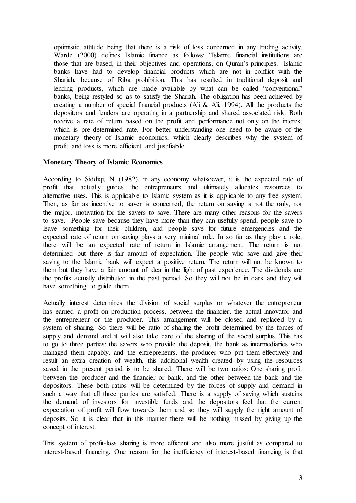optimistic attitude being that there is a risk of loss concerned in any trading activity. Warde (2000) defines Islamic finance as follows: "Islamic financial institutions are those that are based, in their objectives and operations, on Quran"s principles. Islamic banks have had to develop financial products which are not in conflict with the Shariah, because of Riba prohibition. This has resulted in traditional deposit and lending products, which are made available by what can be called "conventional" banks, being restyled so as to satisfy the Shariah. The obligation has been achieved by creating a number of special financial products (Ali & Ali, 1994). All the products the depositors and lenders are operating in a partnership and shared associated risk. Both receive a rate of return based on the profit and performance not only on the interest which is pre-determined rate. For better understanding one need to be aware of the monetary theory of Islamic economics, which clearly describes why the system of profit and loss is more efficient and justifiable.

#### **Monetary Theory of Islamic Economics**

According to Siddiqi, N (1982), in any economy whatsoever, it is the expected rate of profit that actually guides the entrepreneurs and ultimately allocates resources to alternative uses. This is applicable to Islamic system as it is applicable to any free system. Then, as far as incentive to saver is concerned, the return on saving is not the only, nor the major, motivation for the savers to save. There are many other reasons for the savers to save. People save because they have more than they can usefully spend, people save to leave something for their children, and people save for future emergencies and the expected rate of return on saving plays a very minimal role. In so far as they play a role, there will be an expected rate of return in Islamic arrangement. The return is not determined but there is fair amount of expectation. The people who save and give their saving to the Islamic bank will expect a positive return. The return will not be known to them but they have a fair amount of idea in the light of past experience. The dividends are the profits actually distributed in the past period. So they will not be in dark and they will have something to guide them.

Actually interest determines the division of social surplus or whatever the entrepreneur has earned a profit on production process, between the financier, the actual innovator and the entrepreneur or the producer. This arrangement will be closed and replaced by a system of sharing. So there will be ratio of sharing the profit determined by the forces of supply and demand and it will also take care of the sharing of the social surplus. This has to go to three parties: the savers who provide the deposit, the bank as intermediaries who managed them capably, and the entrepreneurs, the producer who put them effectively and result an extra creation of wealth, this additional wealth created by using the resources saved in the present period is to be shared. There will be two ratios: One sharing profit between the producer and the financier or bank, and the other between the bank and the depositors. These both ratios will be determined by the forces of supply and demand in such a way that all three parties are satisfied. There is a supply of saving which sustains the demand of investors for investible funds and the depositors feel that the current expectation of profit will flow towards them and so they will supply the right amount of deposits. So it is clear that in this manner there will be nothing missed by giving up the concept of interest.

This system of profit-loss sharing is more efficient and also more justful as compared to interest-based financing. One reason for the inefficiency of interest-based financing is that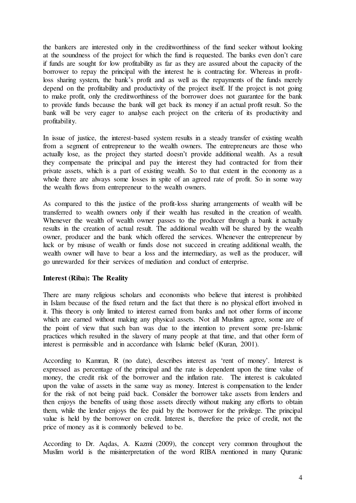the bankers are interested only in the creditworthiness of the fund seeker without looking at the soundness of the project for which the fund is requested. The banks even don"t care if funds are sought for low profitability as far as they are assured about the capacity of the borrower to repay the principal with the interest he is contracting for. Whereas in profitloss sharing system, the bank"s profit and as well as the repayments of the funds merely depend on the profitability and productivity of the project itself. If the project is not going to make profit, only the creditworthiness of the borrower does not guarantee for the bank to provide funds because the bank will get back its money if an actual profit result. So the bank will be very eager to analyse each project on the criteria of its productivity and profitability.

In issue of justice, the interest-based system results in a steady transfer of existing wealth from a segment of entrepreneur to the wealth owners. The entrepreneurs are those who actually lose, as the project they started doesn"t provide additional wealth. As a result they compensate the principal and pay the interest they had contracted for from their private assets, which is a part of existing wealth. So to that extent in the economy as a whole there are always some losses in spite of an agreed rate of profit. So in some way the wealth flows from entrepreneur to the wealth owners.

As compared to this the justice of the profit-loss sharing arrangements of wealth will be transferred to wealth owners only if their wealth has resulted in the creation of wealth. Whenever the wealth of wealth owner passes to the producer through a bank it actually results in the creation of actual result. The additional wealth will be shared by the wealth owner, producer and the bank which offered the services. Whenever the entrepreneur by luck or by misuse of wealth or funds dose not succeed in creating additional wealth, the wealth owner will have to bear a loss and the intermediary, as well as the producer, will go unrewarded for their services of mediation and conduct of enterprise.

#### **Interest (Riba): The Reality**

There are many religious scholars and economists who believe that interest is prohibited in Islam because of the fixed return and the fact that there is no physical effort involved in it. This theory is only limited to interest earned from banks and not other forms of income which are earned without making any physical assets. Not all Muslims agree, some are of the point of view that such ban was due to the intention to prevent some pre-Islamic practices which resulted in the slavery of many people at that time, and that other form of interest is permissible and in accordance with Islamic belief (Kuran, 2001).

According to Kamran, R (no date), describes interest as 'rent of money'. Interest is expressed as percentage of the principal and the rate is dependent upon the time value of money, the credit risk of the borrower and the inflation rate. The interest is calculated upon the value of assets in the same way as money. Interest is compensation to the lender for the risk of not being paid back. Consider the borrower take assets from lenders and then enjoys the benefits of using those assets directly without making any efforts to obtain them, while the lender enjoys the fee paid by the borrower for the privilege. The principal value is held by the borrower on credit. Interest is, therefore the price of credit, not the price of money as it is commonly believed to be.

According to Dr. Aqdas, A. Kazmi (2009), the concept very common throughout the Muslim world is the misinterpretation of the word RIBA mentioned in many Quranic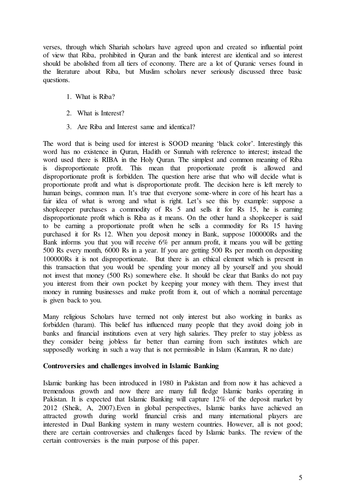verses, through which Shariah scholars have agreed upon and created so influential point of view that Riba, prohibited in Quran and the bank interest are identical and so interest should be abolished from all tiers of economy. There are a lot of Quranic verses found in the literature about Riba, but Muslim scholars never seriously discussed three basic questions.

- 1. What is Riba?
- 2. What is Interest?
- 3. Are Riba and Interest same and identical?

The word that is being used for interest is SOOD meaning "black color". Interestingly this word has no existence in Quran, Hadith or Sunnah with reference to interest; instead the word used there is RIBA in the Holy Quran. The simplest and common meaning of Riba is disproportionate profit. This mean that proportionate profit is allowed and disproportionate profit is forbidden. The question here arise that who will decide what is proportionate profit and what is disproportionate profit. The decision here is left merely to human beings, common man. It's true that everyone some-where in core of his heart has a fair idea of what is wrong and what is right. Let's see this by example: suppose a shopkeeper purchases a commodity of Rs 5 and sells it for Rs 15, he is earning disproportionate profit which is Riba as it means. On the other hand a shopkeeper is said to be earning a proportionate profit when he sells a commodity for Rs 15 having purchased it for Rs 12. When you deposit money in Bank, suppose 100000Rs and the Bank informs you that you will receive 6% per annum profit, it means you will be getting 500 Rs every month, 6000 Rs in a year. If you are getting 500 Rs per month on depositing 100000Rs it is not disproportionate. But there is an ethical element which is present in this transaction that you would be spending your money all by yourself and you should not invest that money (500 Rs) somewhere else. It should be clear that Banks do not pay you interest from their own pocket by keeping your money with them. They invest that money in running businesses and make profit from it, out of which a nominal percentage is given back to you.

Many religious Scholars have termed not only interest but also working in banks as forbidden (haram). This belief has influenced many people that they avoid doing job in banks and financial institutions even at very high salaries. They prefer to stay jobless as they consider being jobless far better than earning from such institutes which are supposedly working in such a way that is not permissible in Islam (Kamran, R no date)

#### **Controversies and challenges involved in Islamic Banking**

Islamic banking has been introduced in 1980 in Pakistan and from now it has achieved a tremendous growth and now there are many full fledge Islamic banks operating in Pakistan. It is expected that Islamic Banking will capture 12% of the deposit market by 2012 (Sheik, A, 2007).Even in global perspectives, Islamic banks have achieved an attracted growth during world financial crisis and many international players are interested in Dual Banking system in many western countries. However, all is not good; there are certain controversies and challenges faced by Islamic banks. The review of the certain controversies is the main purpose of this paper.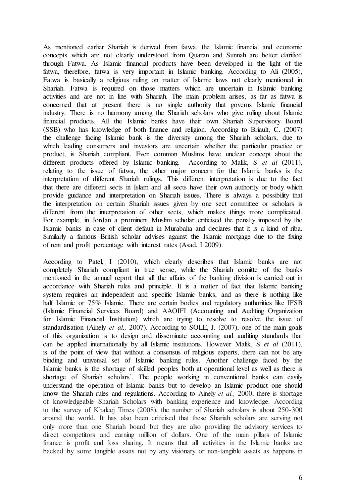As mentioned earlier Shariah is derived from fatwa, the Islamic financial and economic concepts which are not clearly understood from Quaran and Sunnah are better clarified through Fatwa. As Islamic financial products have been developed in the light of the fatwa, therefore, fatwa is very important in Islamic banking. According to Ali (2005), Fatwa is basically a religious ruling on matter of Islamic laws not clearly mentioned in Shariah. Fatwa is required on those matters which are uncertain in Islamic banking activities and are not in line with Shariah. The main problem arises, as far as fatwa is concerned that at present there is no single authority that governs Islamic financial industry. There is no harmony among the Shariah scholars who give ruling about Islamic financial products. All the Islamic banks have their own Shariah Supervisory Board (SSB) who has knowledge of both finance and religion. According to Briault, C. (2007) the challenge facing Islamic bank is the diversity among the Shariah scholars, due to which leading consumers and investors are uncertain whether the particular practice or product, is Shariah compliant. Even common Muslims have unclear concept about the different products offered by Islamic banking. According to Malik, S *et al* (2011), relating to the issue of fatwa, the other major concern for the Islamic banks is the interpretation of different Shariah rulings. This different interpretation is due to the fact that there are different sects in Islam and all sects have their own authority or body which provide guidance and interpretation on Shariah issues. There is always a possibility that the interpretation on certain Shariah issues given by one sect committee or scholars is different from the interpretation of other sects, which makes things more complicated. For example, in Jordan a prominent Muslim scholar criticised the penalty imposed by the Islamic banks in case of client default in Murabaha and declares that it is a kind of riba. Similarly a famous British scholar advises against the Islamic mortgage due to the fixing of rent and profit percentage with interest rates (Asad, I 2009).

According to Patel, I (2010), which clearly describes that Islamic banks are not completely Shariah compliant in true sense, while the Shariah comitte of the banks mentioned in the annual report that all the affairs of the banking division is carried out in accordance with Shariah rules and principle. It is a matter of fact that Islamic banking system requires an independent and specific Islamic banks, and as there is nothing like half Islamic or 75% Islamic. There are certain bodies and regulatory authorities like IFSB (Islamic Financial Services Board) and AAOIFI (Accounting and Auditing Organization for Islamic Financial Institution) which are trying to resolve to resolve the issue of standardisation (Ainely *et al.,* 2007). According to SOLE, J. (2007), one of the main goals of this organization is to design and disseminate accounting and auditing standards that can be applied internationally by all Islamic institutions. However Malik, S *et al* (2011), is of the point of view that without a consensus of religious experts, there can not be any binding and universal set of Islamic banking rules. Another challenge faced by the Islamic banks is the shortage of skilled peoples both at operational level as well as there is shortage of Shariah scholars'. The people working in conventional banks can easily understand the operation of Islamic banks but to develop an Islamic product one should know the Shariah rules and regulations. According to Ainely *et al.,* 2000, there is shortage of knowledgeable Shariah Scholars with banking experience and knowledge. According to the survey of Khaleej Times (2008), the number of Shariah scholars is about 250-300 around the world. It has also been criticised that these Shariah scholars are serving not only more than one Shariah board but they are also providing the advisory services to direct competitors and earning million of dollars. One of the main pillars of Islamic finance is profit and loss sharing. It means that all activities in the Islamic banks are backed by some tangible assets not by any visionary or non-tangible assets as happens in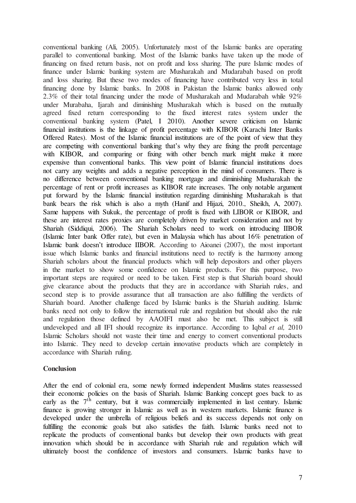conventional banking (Ali, 2005). Unfortunately most of the Islamic banks are operating parallel to conventional banking. Most of the Islamic banks have taken up the mode of financing on fixed return basis, not on profit and loss sharing. The pure Islamic modes of finance under Islamic banking system are Musharakah and Mudarabah based on profit and loss sharing. But these two modes of financing have contributed very less in total financing done by Islamic banks. In 2008 in Pakistan the Islamic banks allowed only 2.3% of their total financing under the mode of Musharakah and Mudarabah while 92% under Murabaha, Ijarah and diminishing Musharakah which is based on the mutually agreed fixed return corresponding to the fixed interest rates system under the conventional banking system (Patel, I 2010). Another severe criticism on Islamic financial institutions is the linkage of profit percentage with KIBOR (Karachi Inter Banks Offered Rates). Most of the Islamic financial institutions are of the point of view that they are competing with conventional banking that's why they are fixing the profit percentage with KIBOR, and comparing or fixing with other bench mark might make it more expensive than conventional banks. This view point of Islamic financial institutions does not carry any weights and adds a negative perception in the mind of consumers. There is no difference between conventional banking mortgage and diminishing Musharakah the percentage of rent or profit increases as KIBOR rate increases. The only notable argument put forward by the Islamic financial institution regarding diminishing Musharakah is that bank bears the risk which is also a myth (Hanif and Hijazi, 2010., Sheikh, A, 2007). Same happens with Sukuk, the percentage of profit is fixed with LIBOR or KIBOR, and these are interest rates proxies are completely driven by market consideration and not by Shariah (Siddiqui, 2006). The Shariah Scholars need to work on introducing IIBOR (Islamic Inter bank Offer rate), but even in Malaysia which has about 16% penetration of Islamic bank doesn"t introduce IIBOR. According to Aioanei (2007), the most important issue which Islamic banks and financial institutions need to rectify is the harmony among Shariah scholars about the financial products which will help depositors and other players in the market to show some confidence on Islamic products. For this purpose, two important steps are required or need to be taken. First step is that Shariah board should give clearance about the products that they are in accordance with Shariah rules, and second step is to provide assurance that all transaction are also fulfilling the verdicts of Shariah board. Another challenge faced by Islamic banks is the Shariah auditing. Islamic banks need not only to follow the international rule and regulation but should also the rule and regulation those defined by AAOIFI must also be met. This subject is still undeveloped and all IFI should recognize its importance. According to Iqbal *et al,* 2010 Islamic Scholars should not waste their time and energy to convert conventional products into Islamic. They need to develop certain innovative products which are completely in accordance with Shariah ruling.

#### **Conclusion**

After the end of colonial era, some newly formed independent Muslims states reassessed their economic policies on the basis of Shariah. Islamic Banking concept goes back to as early as the  $7<sup>th</sup>$  century, but it was commercially implemented in last century. Islamic finance is growing stronger in Islamic as well as in western markets. Islamic finance is developed under the umbrella of religious beliefs and its success depends not only on fulfilling the economic goals but also satisfies the faith. Islamic banks need not to replicate the products of conventional banks but develop their own products with great innovation which should be in accordance with Shariah rule and regulation which will ultimately boost the confidence of investors and consumers. Islamic banks have to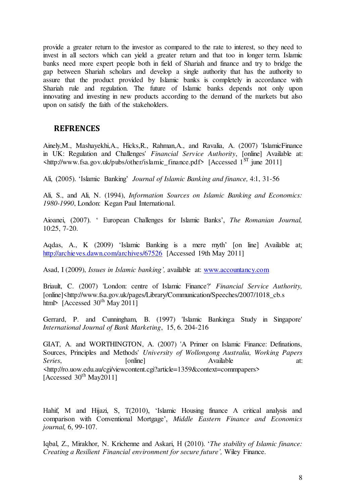provide a greater return to the investor as compared to the rate to interest, so they need to invest in all sectors which can yield a greater return and that too in longer term. Islamic banks need more expert people both in field of Shariah and finance and try to bridge the gap between Shariah scholars and develop a single authority that has the authority to assure that the product provided by Islamic banks is completely in accordance with Shariah rule and regulation. The future of Islamic banks depends not only upon innovating and investing in new products according to the demand of the markets but also upon on satisfy the faith of the stakeholders.

## **REFRENCES**

Ainely,M., Mashayekhi,A., Hicks,R., Rahman,A., and Ravalia, A. (2007) 'IslamicFinance in UK: Regulation and Challenges' *Financial Service Authority*, [online] Available at:  $\frac{\text{th}}{\text{t}}$  /www.fsa.gov.uk/pubs/other/islamic finance.pdf> [Accessed 1<sup>ST</sup> june 2011]

Ali, (2005). "Islamic Banking" *Journal of Islamic Banking and finance,* 4:1, 31-56

Ali, S., and Ali, N. (1994), *Information Sources on Islamic Banking and Economics: 1980-1990*, London: Kegan Paul International.

Aioanei, (2007). " European Challenges for Islamic Banks", *The Romanian Journal,*  10:25, 7-20.

Aqdas, A., K (2009) 'Islamic Banking is a mere myth' [on line] Available at; <http://archieves.dawn.com/archives/67526>[Accessed 19th May 2011]

Asad, I (2009), *Issues in Islamic banking',* available at: [www.accountancy.com](http://www.accountancy.com/) 

Briault, C. (2007) 'London: centre of Islamic Finance?' *Financial Service Authority,* [online]<http://www.fsa.gov.uk/pages/Library/Communication/Speeches/2007/1018\_cb.s html> [Accessed  $30<sup>th</sup>$  May 2011]

Gerrard, P. and Cunningham, B. (1997) 'Islamic Banking:a Study in Singapore' *International Journal of Bank Marketing*, 15, 6. 204-216

GIAT, A. and WORTHINGTON, A. (2007) 'A Primer on Islamic Finance: Definations, Sources, Principles and Methods' *University of Wollongong Australia, Working Papers*  Series, [online] **Available** at: <http://ro.uow.edu.au/cgi/viewcontent.cgi?article=1359&context=commpapers> [Accessed  $30<sup>th</sup>$  May2011]

Hahif, M and Hijazi, S, T(2010), "Islamic Housing finance A critical analysis and comparison with Conventional Mortgage", *Middle Eastern Finance and Economics journal,* 6, 99-107.

Iqbal, Z., Mirakhor, N. Krichenne and Askari, H (2010). "*The stability of Islamic finance: Creating a Resilient Financial environment for secure future',* Wiley Finance.